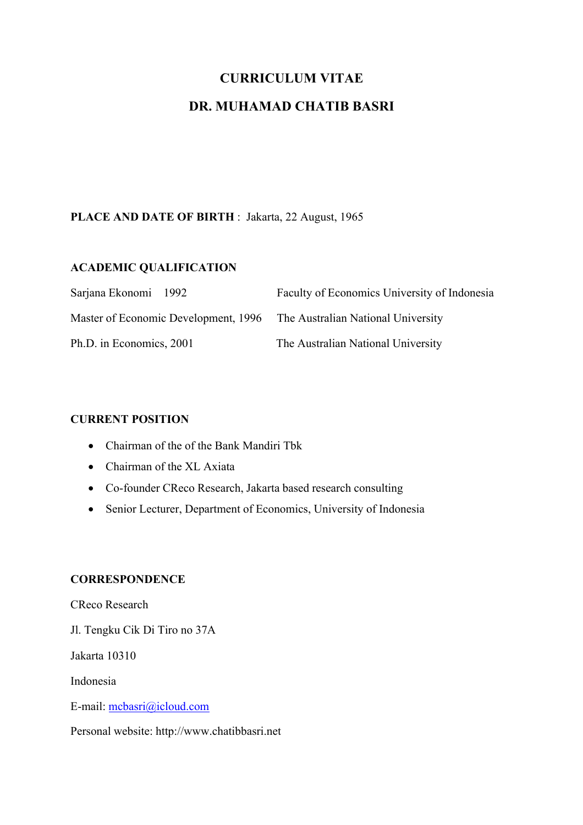# **CURRICULUM VITAE**

# **DR. MUHAMAD CHATIB BASRI**

# **PLACE AND DATE OF BIRTH** : Jakarta, 22 August, 1965

#### **ACADEMIC QUALIFICATION**

| Sarjana Ekonomi 1992<br>Master of Economic Development, 1996 The Australian National University | Faculty of Economics University of Indonesia |
|-------------------------------------------------------------------------------------------------|----------------------------------------------|
|                                                                                                 |                                              |

#### **CURRENT POSITION**

- Chairman of the of the Bank Mandiri Tbk
- Chairman of the XL Axiata
- Co-founder CReco Research, Jakarta based research consulting
- Senior Lecturer, Department of Economics, University of Indonesia

#### **CORRESPONDENCE**

CReco Research

Jl. Tengku Cik Di Tiro no 37A

Jakarta 10310

Indonesia

E-mail: mcbasri@icloud.com

Personal website: http://www.chatibbasri.net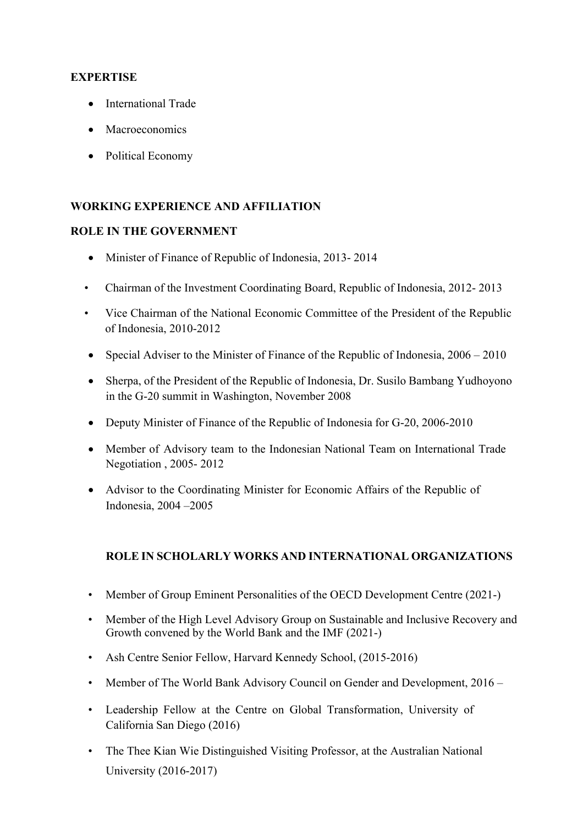#### **EXPERTISE**

- International Trade
- Macroeconomics
- Political Economy

## **WORKING EXPERIENCE AND AFFILIATION**

#### **ROLE IN THE GOVERNMENT**

- Minister of Finance of Republic of Indonesia, 2013- 2014
- Chairman of the Investment Coordinating Board, Republic of Indonesia, 2012- 2013
- Vice Chairman of the National Economic Committee of the President of the Republic of Indonesia, 2010-2012
- Special Adviser to the Minister of Finance of the Republic of Indonesia,  $2006 2010$
- Sherpa, of the President of the Republic of Indonesia, Dr. Susilo Bambang Yudhoyono in the G-20 summit in Washington, November 2008
- Deputy Minister of Finance of the Republic of Indonesia for G-20, 2006-2010
- Member of Advisory team to the Indonesian National Team on International Trade Negotiation , 2005- 2012
- Advisor to the Coordinating Minister for Economic Affairs of the Republic of Indonesia, 2004 –2005

#### **ROLE IN SCHOLARLY WORKS AND INTERNATIONAL ORGANIZATIONS**

- Member of Group Eminent Personalities of the OECD Development Centre (2021-)
- Member of the High Level Advisory Group on Sustainable and Inclusive Recovery and Growth convened by the World Bank and the IMF (2021-)
- Ash Centre Senior Fellow, Harvard Kennedy School, (2015-2016)
- Member of The World Bank Advisory Council on Gender and Development, 2016 –
- Leadership Fellow at the Centre on Global Transformation, University of California San Diego (2016)
- The Thee Kian Wie Distinguished Visiting Professor, at the Australian National University (2016-2017)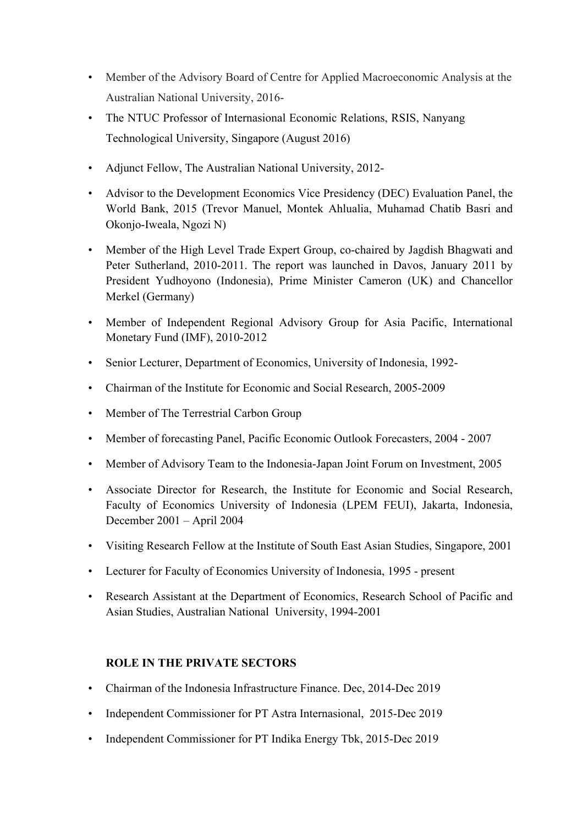- Member of the Advisory Board of Centre for Applied Macroeconomic Analysis at the Australian National University, 2016-
- The NTUC Professor of Internasional Economic Relations, RSIS, Nanyang Technological University, Singapore (August 2016)
- Adjunct Fellow, The Australian National University, 2012-
- Advisor to the Development Economics Vice Presidency (DEC) Evaluation Panel, the World Bank, 2015 (Trevor Manuel, Montek Ahlualia, Muhamad Chatib Basri and Okonjo-Iweala, Ngozi N)
- Member of the High Level Trade Expert Group, co-chaired by Jagdish Bhagwati and Peter Sutherland, 2010-2011. The report was launched in Davos, January 2011 by President Yudhoyono (Indonesia), Prime Minister Cameron (UK) and Chancellor Merkel (Germany)
- Member of Independent Regional Advisory Group for Asia Pacific, International Monetary Fund (IMF), 2010-2012
- Senior Lecturer, Department of Economics, University of Indonesia, 1992-
- Chairman of the Institute for Economic and Social Research, 2005-2009
- Member of The Terrestrial Carbon Group
- Member of forecasting Panel, Pacific Economic Outlook Forecasters, 2004 2007
- Member of Advisory Team to the Indonesia-Japan Joint Forum on Investment, 2005
- Associate Director for Research, the Institute for Economic and Social Research, Faculty of Economics University of Indonesia (LPEM FEUI), Jakarta, Indonesia, December 2001 – April 2004
- Visiting Research Fellow at the Institute of South East Asian Studies, Singapore, 2001
- Lecturer for Faculty of Economics University of Indonesia, 1995 present
- Research Assistant at the Department of Economics, Research School of Pacific and Asian Studies, Australian National University, 1994-2001

#### **ROLE IN THE PRIVATE SECTORS**

- Chairman of the Indonesia Infrastructure Finance. Dec, 2014-Dec 2019
- Independent Commissioner for PT Astra Internasional, 2015-Dec 2019
- Independent Commissioner for PT Indika Energy Tbk, 2015-Dec 2019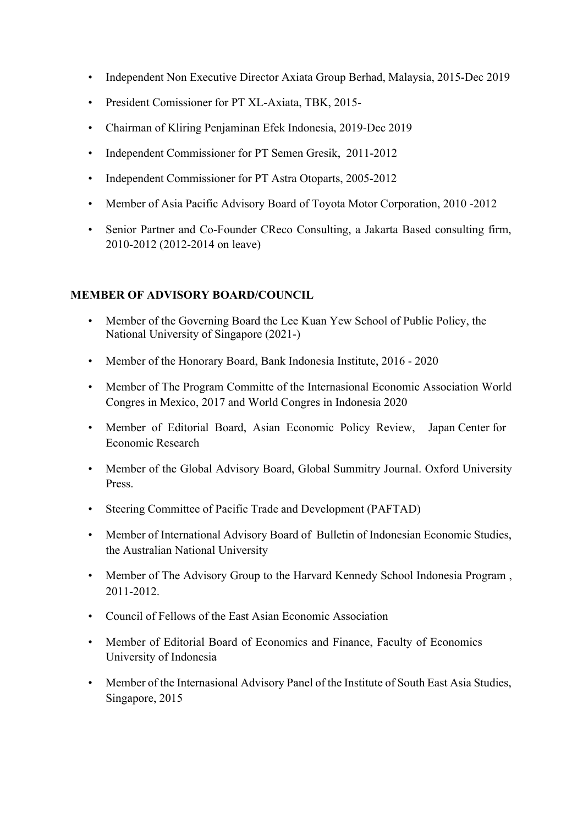- Independent Non Executive Director Axiata Group Berhad, Malaysia, 2015-Dec 2019
- President Comissioner for PT XL-Axiata, TBK, 2015-
- Chairman of Kliring Penjaminan Efek Indonesia, 2019-Dec 2019
- Independent Commissioner for PT Semen Gresik, 2011-2012
- Independent Commissioner for PT Astra Otoparts, 2005-2012
- Member of Asia Pacific Advisory Board of Toyota Motor Corporation, 2010 -2012
- Senior Partner and Co-Founder CReco Consulting, a Jakarta Based consulting firm, 2010-2012 (2012-2014 on leave)

#### **MEMBER OF ADVISORY BOARD/COUNCIL**

- Member of the Governing Board the Lee Kuan Yew School of Public Policy, the National University of Singapore (2021-)
- Member of the Honorary Board, Bank Indonesia Institute, 2016 2020
- Member of The Program Committe of the Internasional Economic Association World Congres in Mexico, 2017 and World Congres in Indonesia 2020
- Member of Editorial Board, Asian Economic Policy Review, Japan Center for Economic Research
- Member of the Global Advisory Board, Global Summitry Journal, Oxford University Press.
- Steering Committee of Pacific Trade and Development (PAFTAD)
- Member of International Advisory Board of Bulletin of Indonesian Economic Studies, the Australian National University
- Member of The Advisory Group to the Harvard Kennedy School Indonesia Program , 2011-2012.
- Council of Fellows of the East Asian Economic Association
- Member of Editorial Board of Economics and Finance, Faculty of Economics University of Indonesia
- Member of the Internasional Advisory Panel of the Institute of South East Asia Studies, Singapore, 2015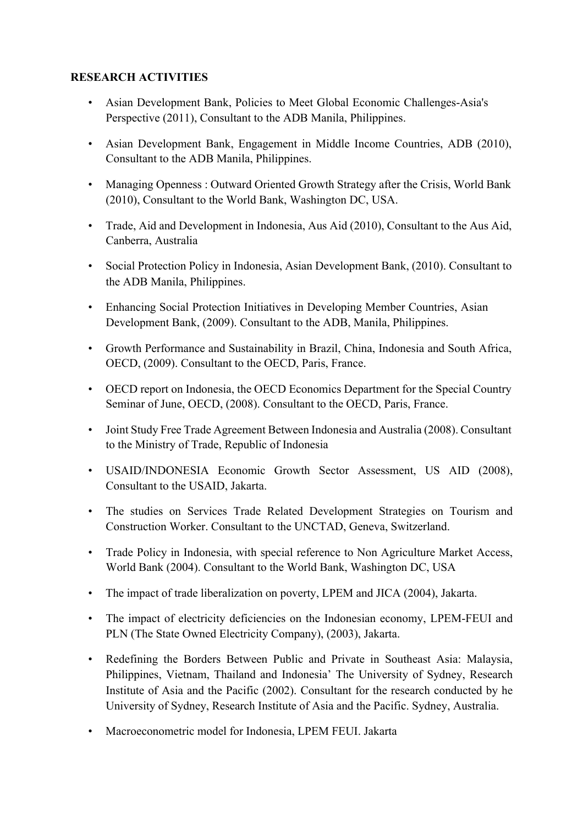#### **RESEARCH ACTIVITIES**

- Asian Development Bank, Policies to Meet Global Economic Challenges-Asia's Perspective (2011), Consultant to the ADB Manila, Philippines.
- Asian Development Bank, Engagement in Middle Income Countries, ADB (2010), Consultant to the ADB Manila, Philippines.
- Managing Openness : Outward Oriented Growth Strategy after the Crisis, World Bank (2010), Consultant to the World Bank, Washington DC, USA.
- Trade, Aid and Development in Indonesia, Aus Aid (2010), Consultant to the Aus Aid, Canberra, Australia
- Social Protection Policy in Indonesia, Asian Development Bank, (2010). Consultant to the ADB Manila, Philippines.
- Enhancing Social Protection Initiatives in Developing Member Countries, Asian Development Bank, (2009). Consultant to the ADB, Manila, Philippines.
- Growth Performance and Sustainability in Brazil, China, Indonesia and South Africa, OECD, (2009). Consultant to the OECD, Paris, France.
- OECD report on Indonesia, the OECD Economics Department for the Special Country Seminar of June, OECD, (2008). Consultant to the OECD, Paris, France.
- Joint Study Free Trade Agreement Between Indonesia and Australia (2008). Consultant to the Ministry of Trade, Republic of Indonesia
- USAID/INDONESIA Economic Growth Sector Assessment, US AID (2008), Consultant to the USAID, Jakarta.
- The studies on Services Trade Related Development Strategies on Tourism and Construction Worker. Consultant to the UNCTAD, Geneva, Switzerland.
- Trade Policy in Indonesia, with special reference to Non Agriculture Market Access, World Bank (2004). Consultant to the World Bank, Washington DC, USA
- The impact of trade liberalization on poverty, LPEM and JICA (2004), Jakarta.
- The impact of electricity deficiencies on the Indonesian economy, LPEM-FEUI and PLN (The State Owned Electricity Company), (2003), Jakarta.
- Redefining the Borders Between Public and Private in Southeast Asia: Malaysia, Philippines, Vietnam, Thailand and Indonesia' The University of Sydney, Research Institute of Asia and the Pacific (2002). Consultant for the research conducted by he University of Sydney, Research Institute of Asia and the Pacific. Sydney, Australia.
- Macroeconometric model for Indonesia, LPEM FEUI. Jakarta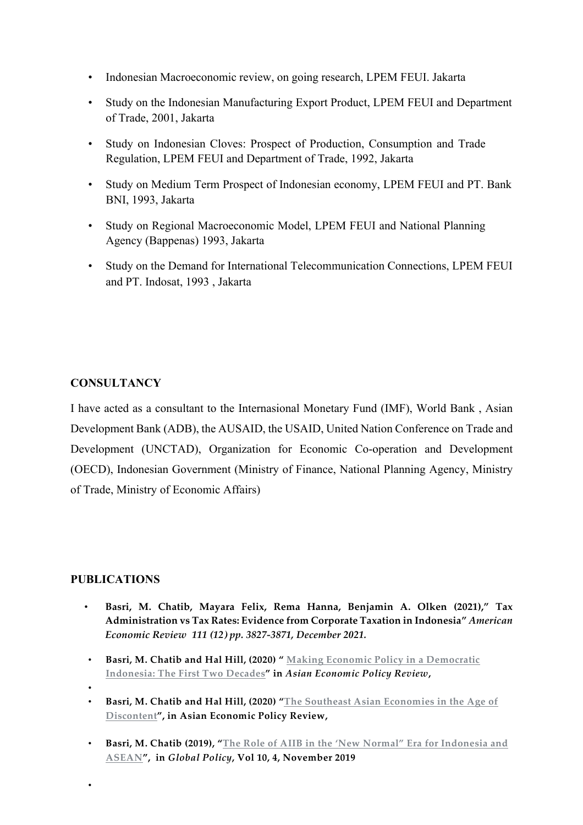- Indonesian Macroeconomic review, on going research, LPEM FEUI. Jakarta
- Study on the Indonesian Manufacturing Export Product, LPEM FEUI and Department of Trade, 2001, Jakarta
- Study on Indonesian Cloves: Prospect of Production, Consumption and Trade Regulation, LPEM FEUI and Department of Trade, 1992, Jakarta
- Study on Medium Term Prospect of Indonesian economy, LPEM FEUI and PT. Bank BNI, 1993, Jakarta
- Study on Regional Macroeconomic Model, LPEM FEUI and National Planning Agency (Bappenas) 1993, Jakarta
- Study on the Demand for International Telecommunication Connections, LPEM FEUI and PT. Indosat, 1993 , Jakarta

### **CONSULTANCY**

I have acted as a consultant to the Internasional Monetary Fund (IMF), World Bank , Asian Development Bank (ADB), the AUSAID, the USAID, United Nation Conference on Trade and Development (UNCTAD), Organization for Economic Co-operation and Development (OECD), Indonesian Government (Ministry of Finance, National Planning Agency, Ministry of Trade, Ministry of Economic Affairs)

#### **PUBLICATIONS**

- **Basri, M. Chatib, Mayara Felix, Rema Hanna, Benjamin A. Olken (2021)," Tax Administration vs Tax Rates: Evidence from Corporate Taxation in Indonesia"** *American Economic Review 111 (12) pp. 3827-3871, December 2021.*
- **Basri, M. Chatib and Hal Hill, (2020) " Making Economic Policy in a Democratic Indonesia: The First Two Decades" in** *Asian Economic Policy Review***,**
- •

•

- **Basri, M. Chatib and Hal Hill, (2020) "The Southeast Asian Economies in the Age of Discontent", in Asian Economic Policy Review,**
- **Basri, M. Chatib (2019), "The Role of AIIB in the 'New Normal" Era for Indonesia and ASEAN", in** *Global Policy***, Vol 10, 4, November 2019**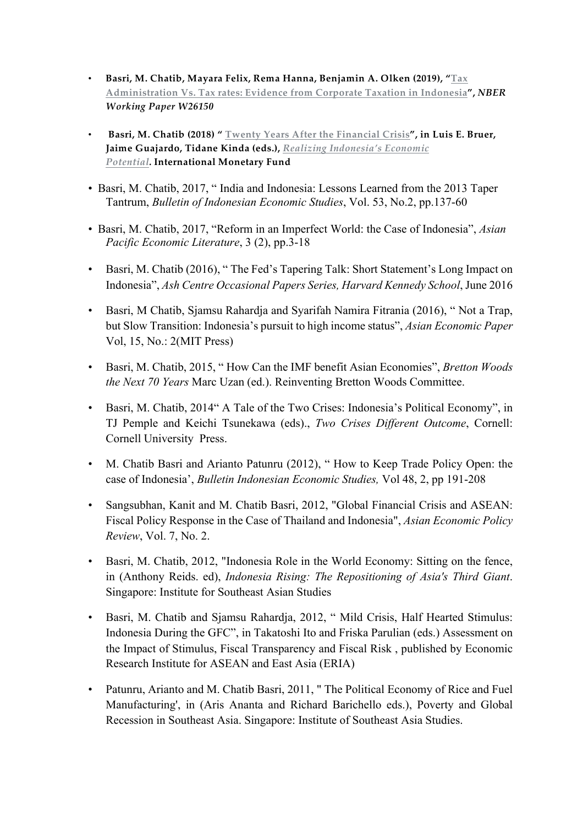- **Basri, M. Chatib, Mayara Felix, Rema Hanna, Benjamin A. Olken (2019), "Tax Administration Vs. Tax rates: Evidence from Corporate Taxation in Indonesia",** *NBER Working Paper W26150*
- **Basri, M. Chatib (2018) " Twenty Years After the Financial Crisis", in Luis E. Bruer, Jaime Guajardo, Tidane Kinda (eds.),** *Realizing Indonesia's Economic Potential.* **International Monetary Fund**
- Basri, M. Chatib, 2017, " India and Indonesia: Lessons Learned from the 2013 Taper Tantrum, *Bulletin of Indonesian Economic Studies*, Vol. 53, No.2, pp.137-60
- Basri, M. Chatib, 2017, "Reform in an Imperfect World: the Case of Indonesia", *Asian Pacific Economic Literature*, 3 (2), pp.3-18
- Basri, M. Chatib (2016), "The Fed's Tapering Talk: Short Statement's Long Impact on Indonesia", *Ash Centre Occasional Papers Series, Harvard Kennedy School*, June 2016
- Basri, M Chatib, Sjamsu Rahardja and Syarifah Namira Fitrania (2016), " Not a Trap, but Slow Transition: Indonesia's pursuit to high income status", *Asian Economic Paper* Vol, 15, No.: 2(MIT Press)
- Basri, M. Chatib, 2015, " How Can the IMF benefit Asian Economies", *Bretton Woods the Next 70 Years* Marc Uzan (ed.). Reinventing Bretton Woods Committee.
- Basri, M. Chatib, 2014" A Tale of the Two Crises: Indonesia's Political Economy", in TJ Pemple and Keichi Tsunekawa (eds)., *Two Crises Different Outcome*, Cornell: Cornell University Press.
- M. Chatib Basri and Arianto Patunru (2012), "How to Keep Trade Policy Open: the case of Indonesia', *Bulletin Indonesian Economic Studies,* Vol 48, 2, pp 191-208
- Sangsubhan, Kanit and M. Chatib Basri, 2012, "Global Financial Crisis and ASEAN: Fiscal Policy Response in the Case of Thailand and Indonesia", *Asian Economic Policy Review*, Vol. 7, No. 2.
- Basri, M. Chatib, 2012, "Indonesia Role in the World Economy: Sitting on the fence, in (Anthony Reids. ed), *Indonesia Rising: The Repositioning of Asia's Third Giant*. Singapore: Institute for Southeast Asian Studies
- Basri, M. Chatib and Sjamsu Rahardja, 2012, " Mild Crisis, Half Hearted Stimulus: Indonesia During the GFC", in Takatoshi Ito and Friska Parulian (eds.) Assessment on the Impact of Stimulus, Fiscal Transparency and Fiscal Risk , published by Economic Research Institute for ASEAN and East Asia (ERIA)
- Patunru, Arianto and M. Chatib Basri, 2011, " The Political Economy of Rice and Fuel Manufacturing', in (Aris Ananta and Richard Barichello eds.), Poverty and Global Recession in Southeast Asia. Singapore: Institute of Southeast Asia Studies.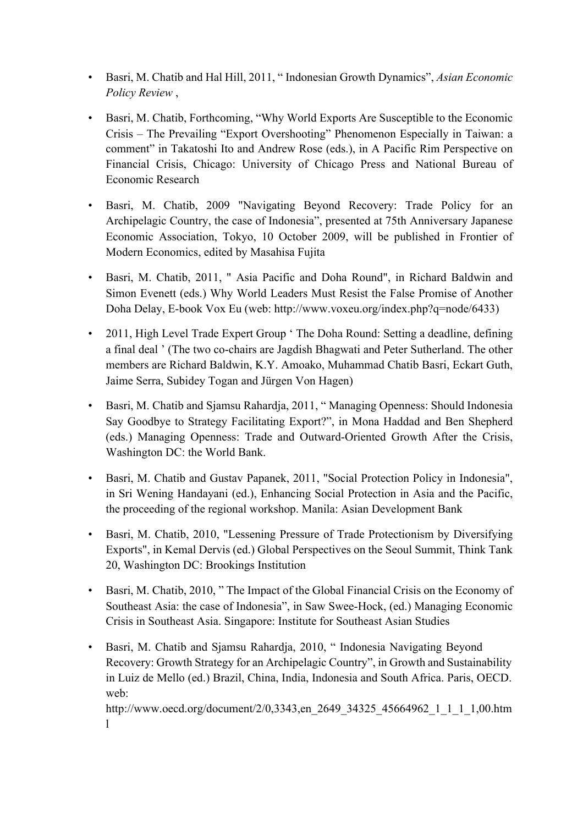- Basri, M. Chatib and Hal Hill, 2011, " Indonesian Growth Dynamics", *Asian Economic Policy Review* ,
- Basri, M. Chatib, Forthcoming, "Why World Exports Are Susceptible to the Economic Crisis – The Prevailing "Export Overshooting" Phenomenon Especially in Taiwan: a comment" in Takatoshi Ito and Andrew Rose (eds.), in A Pacific Rim Perspective on Financial Crisis, Chicago: University of Chicago Press and National Bureau of Economic Research
- Basri, M. Chatib, 2009 "Navigating Beyond Recovery: Trade Policy for an Archipelagic Country, the case of Indonesia", presented at 75th Anniversary Japanese Economic Association, Tokyo, 10 October 2009, will be published in Frontier of Modern Economics, edited by Masahisa Fujita
- Basri, M. Chatib, 2011, " Asia Pacific and Doha Round", in Richard Baldwin and Simon Evenett (eds.) Why World Leaders Must Resist the False Promise of Another Doha Delay, E-book Vox Eu (web: http://www.voxeu.org/index.php?q=node/6433)
- 2011, High Level Trade Expert Group ' The Doha Round: Setting a deadline, defining a final deal ' (The two co-chairs are Jagdish Bhagwati and Peter Sutherland. The other members are Richard Baldwin, K.Y. Amoako, Muhammad Chatib Basri, Eckart Guth, Jaime Serra, Subidey Togan and Jürgen Von Hagen)
- Basri, M. Chatib and Sjamsu Rahardja, 2011, " Managing Openness: Should Indonesia Say Goodbye to Strategy Facilitating Export?", in Mona Haddad and Ben Shepherd (eds.) Managing Openness: Trade and Outward-Oriented Growth After the Crisis, Washington DC: the World Bank.
- Basri, M. Chatib and Gustav Papanek, 2011, "Social Protection Policy in Indonesia", in Sri Wening Handayani (ed.), Enhancing Social Protection in Asia and the Pacific, the proceeding of the regional workshop. Manila: Asian Development Bank
- Basri, M. Chatib, 2010, "Lessening Pressure of Trade Protectionism by Diversifying Exports", in Kemal Dervis (ed.) Global Perspectives on the Seoul Summit, Think Tank 20, Washington DC: Brookings Institution
- Basri, M. Chatib, 2010, "The Impact of the Global Financial Crisis on the Economy of Southeast Asia: the case of Indonesia", in Saw Swee-Hock, (ed.) Managing Economic Crisis in Southeast Asia. Singapore: Institute for Southeast Asian Studies
- Basri, M. Chatib and Sjamsu Rahardja, 2010, " Indonesia Navigating Beyond Recovery: Growth Strategy for an Archipelagic Country", in Growth and Sustainability in Luiz de Mello (ed.) Brazil, China, India, Indonesia and South Africa. Paris, OECD. web:

http://www.oecd.org/document/2/0,3343,en\_2649\_34325\_45664962\_1\_1\_1\_1,00.htm l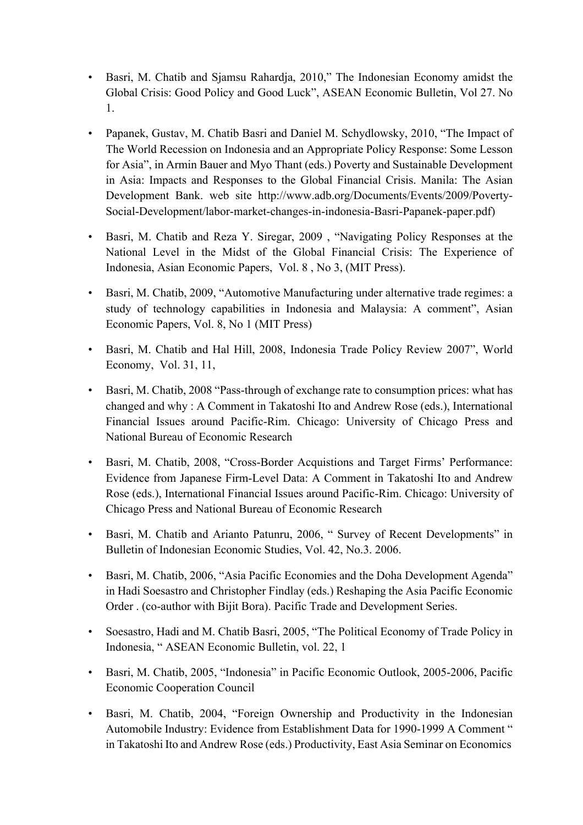- Basri, M. Chatib and Sjamsu Rahardja, 2010," The Indonesian Economy amidst the Global Crisis: Good Policy and Good Luck", ASEAN Economic Bulletin, Vol 27. No 1.
- Papanek, Gustav, M. Chatib Basri and Daniel M. Schydlowsky, 2010, "The Impact of The World Recession on Indonesia and an Appropriate Policy Response: Some Lesson for Asia", in Armin Bauer and Myo Thant (eds.) Poverty and Sustainable Development in Asia: Impacts and Responses to the Global Financial Crisis. Manila: The Asian Development Bank. web site http://www.adb.org/Documents/Events/2009/Poverty-Social-Development/labor-market-changes-in-indonesia-Basri-Papanek-paper.pdf)
- Basri, M. Chatib and Reza Y. Siregar, 2009 , "Navigating Policy Responses at the National Level in the Midst of the Global Financial Crisis: The Experience of Indonesia, Asian Economic Papers, Vol. 8 , No 3, (MIT Press).
- Basri, M. Chatib, 2009, "Automotive Manufacturing under alternative trade regimes: a study of technology capabilities in Indonesia and Malaysia: A comment", Asian Economic Papers, Vol. 8, No 1 (MIT Press)
- Basri, M. Chatib and Hal Hill, 2008, Indonesia Trade Policy Review 2007", World Economy, Vol. 31, 11,
- Basri, M. Chatib, 2008 "Pass-through of exchange rate to consumption prices: what has changed and why : A Comment in Takatoshi Ito and Andrew Rose (eds.), International Financial Issues around Pacific-Rim. Chicago: University of Chicago Press and National Bureau of Economic Research
- Basri, M. Chatib, 2008, "Cross-Border Acquistions and Target Firms' Performance: Evidence from Japanese Firm-Level Data: A Comment in Takatoshi Ito and Andrew Rose (eds.), International Financial Issues around Pacific-Rim. Chicago: University of Chicago Press and National Bureau of Economic Research
- Basri, M. Chatib and Arianto Patunru, 2006, " Survey of Recent Developments" in Bulletin of Indonesian Economic Studies, Vol. 42, No.3. 2006.
- Basri, M. Chatib, 2006, "Asia Pacific Economies and the Doha Development Agenda" in Hadi Soesastro and Christopher Findlay (eds.) Reshaping the Asia Pacific Economic Order . (co-author with Bijit Bora). Pacific Trade and Development Series.
- Soesastro, Hadi and M. Chatib Basri, 2005, "The Political Economy of Trade Policy in Indonesia, " ASEAN Economic Bulletin, vol. 22, 1
- Basri, M. Chatib, 2005, "Indonesia" in Pacific Economic Outlook, 2005-2006, Pacific Economic Cooperation Council
- Basri, M. Chatib, 2004, "Foreign Ownership and Productivity in the Indonesian Automobile Industry: Evidence from Establishment Data for 1990-1999 A Comment " in Takatoshi Ito and Andrew Rose (eds.) Productivity, East Asia Seminar on Economics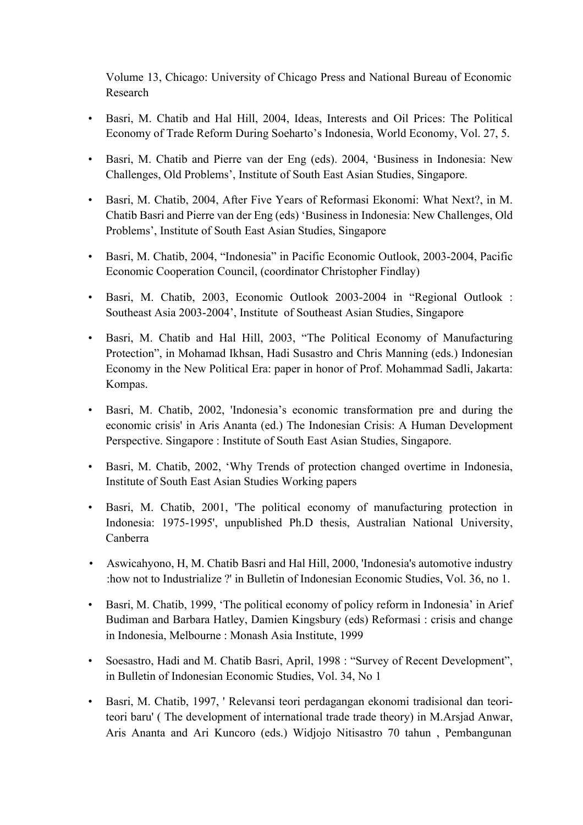Volume 13, Chicago: University of Chicago Press and National Bureau of Economic Research

- Basri, M. Chatib and Hal Hill, 2004, Ideas, Interests and Oil Prices: The Political Economy of Trade Reform During Soeharto's Indonesia, World Economy, Vol. 27, 5.
- Basri, M. Chatib and Pierre van der Eng (eds). 2004, 'Business in Indonesia: New Challenges, Old Problems', Institute of South East Asian Studies, Singapore.
- Basri, M. Chatib, 2004, After Five Years of Reformasi Ekonomi: What Next?, in M. Chatib Basri and Pierre van der Eng (eds) 'Business in Indonesia: New Challenges, Old Problems', Institute of South East Asian Studies, Singapore
- Basri, M. Chatib, 2004, "Indonesia" in Pacific Economic Outlook, 2003-2004, Pacific Economic Cooperation Council, (coordinator Christopher Findlay)
- Basri, M. Chatib, 2003, Economic Outlook 2003-2004 in "Regional Outlook : Southeast Asia 2003-2004', Institute of Southeast Asian Studies, Singapore
- Basri, M. Chatib and Hal Hill, 2003, "The Political Economy of Manufacturing Protection", in Mohamad Ikhsan, Hadi Susastro and Chris Manning (eds.) Indonesian Economy in the New Political Era: paper in honor of Prof. Mohammad Sadli, Jakarta: Kompas.
- Basri, M. Chatib, 2002, 'Indonesia's economic transformation pre and during the economic crisis' in Aris Ananta (ed.) The Indonesian Crisis: A Human Development Perspective. Singapore : Institute of South East Asian Studies, Singapore.
- Basri, M. Chatib, 2002, 'Why Trends of protection changed overtime in Indonesia, Institute of South East Asian Studies Working papers
- Basri, M. Chatib, 2001, 'The political economy of manufacturing protection in Indonesia: 1975-1995', unpublished Ph.D thesis, Australian National University, Canberra
- Aswicahyono, H, M. Chatib Basri and Hal Hill, 2000, 'Indonesia's automotive industry :how not to Industrialize ?' in Bulletin of Indonesian Economic Studies, Vol. 36, no 1.
- Basri, M. Chatib, 1999, 'The political economy of policy reform in Indonesia' in Arief Budiman and Barbara Hatley, Damien Kingsbury (eds) Reformasi : crisis and change in Indonesia, Melbourne : Monash Asia Institute, 1999
- Soesastro, Hadi and M. Chatib Basri, April, 1998 : "Survey of Recent Development", in Bulletin of Indonesian Economic Studies, Vol. 34, No 1
- Basri, M. Chatib, 1997, ' Relevansi teori perdagangan ekonomi tradisional dan teoriteori baru' ( The development of international trade trade theory) in M.Arsjad Anwar, Aris Ananta and Ari Kuncoro (eds.) Widjojo Nitisastro 70 tahun , Pembangunan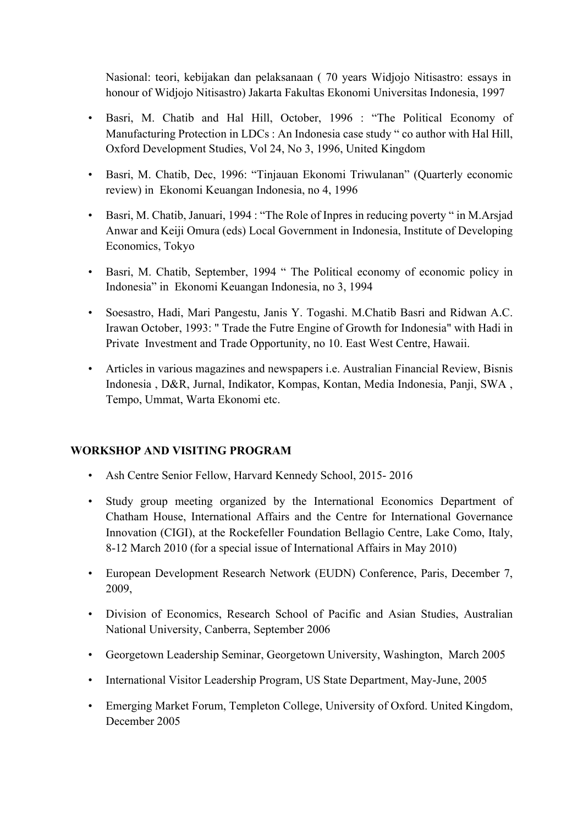Nasional: teori, kebijakan dan pelaksanaan ( 70 years Widjojo Nitisastro: essays in honour of Widjojo Nitisastro) Jakarta Fakultas Ekonomi Universitas Indonesia, 1997

- Basri, M. Chatib and Hal Hill, October, 1996 : "The Political Economy of Manufacturing Protection in LDCs : An Indonesia case study " co author with Hal Hill, Oxford Development Studies, Vol 24, No 3, 1996, United Kingdom
- Basri, M. Chatib, Dec, 1996: "Tinjauan Ekonomi Triwulanan" (Quarterly economic review) in Ekonomi Keuangan Indonesia, no 4, 1996
- Basri, M. Chatib, Januari, 1994 : "The Role of Inpres in reducing poverty " in M.Arsjad Anwar and Keiji Omura (eds) Local Government in Indonesia, Institute of Developing Economics, Tokyo
- Basri, M. Chatib, September, 1994 " The Political economy of economic policy in Indonesia" in Ekonomi Keuangan Indonesia, no 3, 1994
- Soesastro, Hadi, Mari Pangestu, Janis Y. Togashi. M.Chatib Basri and Ridwan A.C. Irawan October, 1993: " Trade the Futre Engine of Growth for Indonesia" with Hadi in Private Investment and Trade Opportunity, no 10. East West Centre, Hawaii.
- Articles in various magazines and newspapers i.e. Australian Financial Review, Bisnis Indonesia , D&R, Jurnal, Indikator, Kompas, Kontan, Media Indonesia, Panji, SWA , Tempo, Ummat, Warta Ekonomi etc.

# **WORKSHOP AND VISITING PROGRAM**

- Ash Centre Senior Fellow, Harvard Kennedy School, 2015- 2016
- Study group meeting organized by the International Economics Department of Chatham House, International Affairs and the Centre for International Governance Innovation (CIGI), at the Rockefeller Foundation Bellagio Centre, Lake Como, Italy, 8-12 March 2010 (for a special issue of International Affairs in May 2010)
- European Development Research Network (EUDN) Conference, Paris, December 7, 2009,
- Division of Economics, Research School of Pacific and Asian Studies, Australian National University, Canberra, September 2006
- Georgetown Leadership Seminar, Georgetown University, Washington, March 2005
- International Visitor Leadership Program, US State Department, May-June, 2005
- Emerging Market Forum, Templeton College, University of Oxford. United Kingdom, December 2005